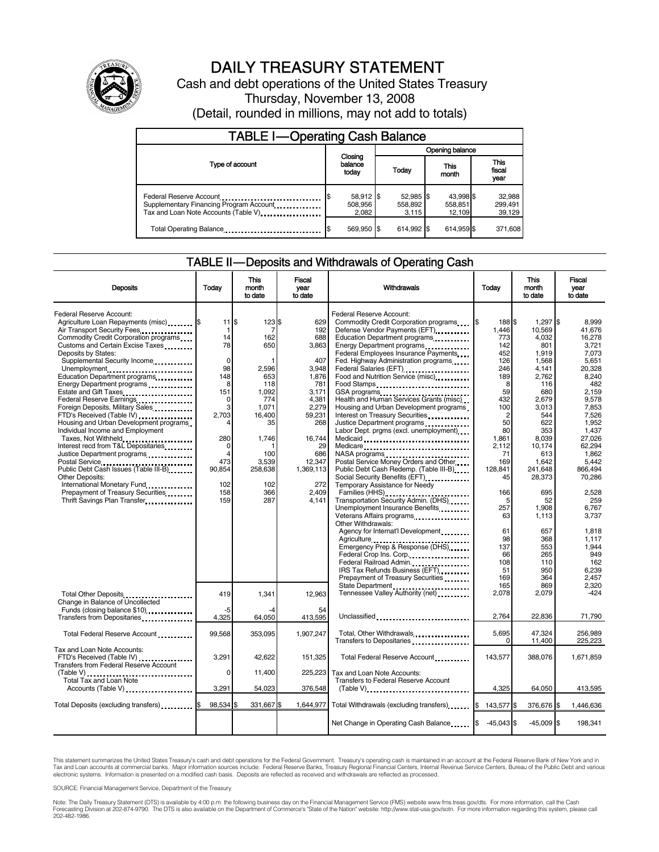

# DAILY TREASURY STATEMENT

Cash and debt operations of the United States Treasury Thursday, November 13, 2008 (Detail, rounded in millions, may not add to totals)

| <b>TABLE I-Operating Cash Balance</b>                                                                      |                               |                               |                                |                               |  |
|------------------------------------------------------------------------------------------------------------|-------------------------------|-------------------------------|--------------------------------|-------------------------------|--|
|                                                                                                            |                               | Opening balance               |                                |                               |  |
| Type of account                                                                                            | Closing<br>balance<br>today   | Today                         | This<br>month                  | <b>This</b><br>fiscal<br>year |  |
| Federal Reserve Account<br>Supplementary Financing Program Account<br>Tax and Loan Note Accounts (Table V) | 58,912 \$<br>508,956<br>2.082 | 52,985 \$<br>558,892<br>3.115 | 43.998 \$<br>558,851<br>12.109 | 32,988<br>299,491<br>39,129   |  |
| Total Operating Balance                                                                                    | 569.950 \$                    | 614.992 \$                    | 614.959 \$                     | 371.608                       |  |

#### TABLE II — Deposits and Withdrawals of Operating Cash

|                                                                   |                                 | This             | Fiscal          |                                                                         |              | <b>This</b>      | Fiscal          |
|-------------------------------------------------------------------|---------------------------------|------------------|-----------------|-------------------------------------------------------------------------|--------------|------------------|-----------------|
| <b>Deposits</b>                                                   | Today                           | month<br>to date | vear<br>to date | Withdrawals                                                             | Today        | month<br>to date | year<br>to date |
| <b>Federal Reserve Account:</b>                                   |                                 |                  |                 | Federal Reserve Account:                                                |              |                  |                 |
| Agriculture Loan Repayments (misc) \$                             | $11$ $\overline{\phantom{.0}5}$ | 123S             | 629             | Commodity Credit Corporation programs                                   | 188 \$       | $1,297$ \$       | 8.999           |
| Air Transport Security Fees                                       | 1                               | 7                | 192             | Defense Vendor Payments (EFT)                                           | 1.446        | 10.569           | 41.676          |
| Commodity Credit Corporation programs                             | 14                              | 162              | 688             | Education Department programs                                           | 773          | 4,032            | 16,278          |
| Customs and Certain Excise Taxes                                  | 78                              | 650              | 3,863           | Energy Department programs                                              | 142          | 801              | 3,721           |
| Deposits by States:                                               |                                 |                  |                 | Federal Employees Insurance Payments                                    | 452          | 1,919            | 7.073           |
| Supplemental Security Income                                      | $\Omega$                        |                  | 407             | Fed. Highway Administration programs                                    | 126          | 1,568            | 5,651           |
| Unemployment                                                      | 98                              | 2,596            | 3,948           | Federal Salaries (EFT)                                                  | 246          | 4,141            | 20,328          |
| Education Department programs                                     | 148<br>8                        | 653<br>118       | 1,876<br>781    | Food and Nutrition Service (misc)                                       | 189<br>8     | 2,762<br>116     | 8,240<br>482    |
| Energy Department programs                                        | 151                             | 1.092            | 3,171           | Food Stamps                                                             | 59           | 680              | 2.159           |
| Estate and Gift Taxes<br>Federal Reserve Earnings                 | 0                               | 774              | 4,381           | Health and Human Services Grants (misc)                                 | 432          | 2,679            | 9,578           |
| Foreign Deposits, Military Sales                                  | 3                               | 1.071            | 2,279           | Housing and Urban Development programs                                  | 100          | 3,013            | 7.853           |
| FTD's Received (Table IV)                                         | 2.703                           | 16.400           | 59,231          | Interest on Treasury Securities                                         | 2            | 544              | 7.526           |
| Housing and Urban Development programs                            |                                 | 35               | 268             | Justice Department programs                                             | 50           | 622              | 1,952           |
| Individual Income and Employment                                  |                                 |                  |                 | Labor Dept. prgms (excl. unemployment)                                  | 80           | 353              | 1.437           |
| Taxes, Not Withheld                                               | 280                             | 1.746            | 16,744          | Medicaid                                                                | 1,861        | 8,039            | 27.026          |
| Interest recd from T&L Depositaries                               | $\Omega$                        |                  | 29              | Medicare                                                                | 2.112        | 10.174           | 62.294          |
| Justice Department programs                                       | $\overline{4}$                  | 100              | 686             | NASA programs                                                           | 71           | 613              | 1,862           |
| Postal Service                                                    | 473                             | 3,539            | 12,347          | Postal Service Money Orders and Other                                   | 169          | 1.642            | 5.442           |
| Public Debt Cash Issues (Table III-B)                             | 90,854                          | 258.638          | 1,369,113       | Public Debt Cash Redemp. (Table III-B)                                  | 128,841      | 241.648          | 866.494         |
| <b>Other Deposits:</b>                                            |                                 |                  |                 |                                                                         | 45           | 28.373           | 70.286          |
| International Monetary Fund.                                      | 102                             | 102              | 272             | Temporary Assistance for Needy                                          |              |                  |                 |
| Prepayment of Treasury Securities<br>Thrift Savings Plan Transfer | 158<br>159                      | 366<br>287       | 2.409<br>4.141  | Families (HHS)                                                          | 166<br>5     | 695<br>52        | 2.528<br>259    |
|                                                                   |                                 |                  |                 | Transportation Security Admin. (DHS)<br>Unemployment Insurance Benefits | 257          | 1,908            | 6,767           |
|                                                                   |                                 |                  |                 | Veterans Affairs programs                                               | 63           | 1,113            | 3,737           |
|                                                                   |                                 |                  |                 | Other Withdrawals:                                                      |              |                  |                 |
|                                                                   |                                 |                  |                 | Agency for Internat'l Development                                       | 61           | 657              | 1.818           |
|                                                                   |                                 |                  |                 |                                                                         | 98           | 368              | 1.117           |
|                                                                   |                                 |                  |                 | Emergency Prep & Response (DHS)                                         | 137          | 553              | 1.944           |
|                                                                   |                                 |                  |                 | Federal Crop Ins. Corp                                                  | 66           | 265              | 949             |
|                                                                   |                                 |                  |                 | Federal Railroad Admin                                                  | 108          | 110              | 162             |
|                                                                   |                                 |                  |                 | IRS Tax Refunds Business (EFT)                                          | 51           | 950              | 6,239           |
|                                                                   |                                 |                  |                 | Prepayment of Treasury Securities                                       | 169          | 364              | 2.457           |
|                                                                   |                                 |                  |                 | State Department                                                        | 165          | 869              | 2.320           |
| Total Other Deposits                                              | 419                             | 1,341            | 12.963          | Tennessee Valley Authority (net)                                        | 2.078        | 2,079            | $-424$          |
| Change in Balance of Uncollected                                  |                                 |                  |                 |                                                                         |              |                  |                 |
| Funds (closing balance \$10)<br>Transfers from Depositaries       | -5<br>4.325                     | -4<br>64,050     | 54<br>413,595   | Unclassified                                                            | 2.764        | 22,836           | 71,790          |
|                                                                   |                                 |                  |                 |                                                                         |              |                  |                 |
| Total Federal Reserve Account                                     | 99,568                          | 353,095          | 1,907,247       | Total, Other Withdrawals                                                | 5,695        | 47,324           | 256,989         |
|                                                                   |                                 |                  |                 | Transfers to Depositaries                                               | $\Omega$     | 11,400           | 225,223         |
| Tax and Loan Note Accounts:                                       |                                 |                  |                 |                                                                         |              |                  |                 |
| FTD's Received (Table IV)                                         | 3.291                           | 42.622           | 151.325         | Total Federal Reserve Account                                           | 143.577      | 388.076          | 1.671.859       |
| <b>Transfers from Federal Reserve Account</b>                     |                                 |                  |                 |                                                                         |              |                  |                 |
|                                                                   | $\mathbf 0$                     | 11,400           | 225,223         | Tax and Loan Note Accounts:                                             |              |                  |                 |
| Total Tax and Loan Note                                           |                                 |                  |                 | <b>Transfers to Federal Reserve Account</b>                             |              |                  |                 |
| Accounts (Table V)                                                | 3.291                           | 54.023           | 376,548         | $(Table V)$                                                             | 4.325        | 64.050           | 413,595         |
|                                                                   |                                 |                  |                 |                                                                         |              |                  |                 |
| Total Deposits (excluding transfers)                              | 98,534                          | 331,667 \$       |                 | 1,644,977 Total Withdrawals (excluding transfers)                       | 143,577 \$   | 376,676 \$       | 1,446,636       |
|                                                                   |                                 |                  |                 |                                                                         |              |                  |                 |
|                                                                   |                                 |                  |                 | Net Change in Operating Cash Balance                                    | $-45,043$ \$ | $-45,009$ \$     | 198,341         |

This statement summarizes the United States Treasury's cash and debt operations for the Federal Government. Treasury's operating cash is maintained in an account at the Federal Reserve Bank of New York and in<br>Tax and Loan

SOURCE: Financial Management Service, Department of the Treasury

Note: The Daily Treasury Statement (DTS) is available by 4:00 p.m. the following business day on the Financial Management Service (FMS) website www.fms.treas.gov/dts. For more information, call the Cash<br>Forecasting Divisio eas.gov/dts. F<br>For more infor